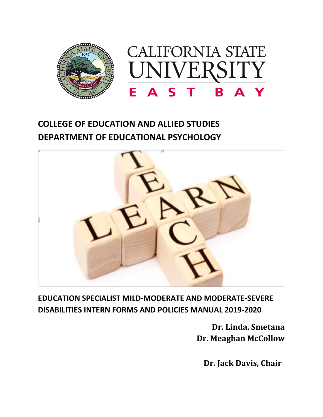

# **COLLEGE OF EDUCATION AND ALLIED STUDIES DEPARTMENT OF EDUCATIONAL PSYCHOLOGY**



**EDUCATION SPECIALIST MILD-MODERATE AND MODERATE-SEVERE DISABILITIES INTERN FORMS AND POLICIES MANUAL 2019-2020**

> **Dr. Linda. Smetana Dr. Meaghan McCollow**

**Dr. Jack Davis, Chair**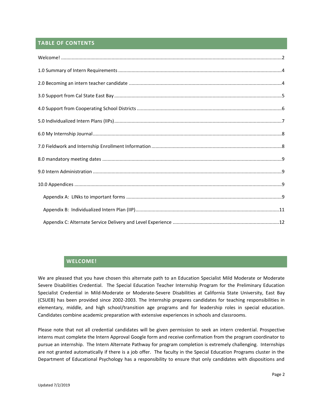# **TABLE OF CONTENTS**

# **WELCOME!**

<span id="page-1-0"></span>We are pleased that you have chosen this alternate path to an Education Specialist Mild Moderate or Moderate Severe Disabilities Credential. The Special Education Teacher Internship Program for the Preliminary Education Specialist Credential in Mild-Moderate or Moderate-Severe Disabilities at California State University, East Bay (CSUEB) has been provided since 2002-2003. The Internship prepares candidates for teaching responsibilities in elementary, middle, and high school/transition age programs and for leadership roles in special education. Candidates combine academic preparation with extensive experiences in schools and classrooms.

Please note that not all credential candidates will be given permission to seek an intern credential. Prospective interns must complete the Intern Approval Google form and receive confirmation from the program coordinator to pursue an internship. The Intern Alternate Pathway for program completion is extremely challenging. Internships are not granted automatically if there is a job offer. The faculty in the Special Education Programs cluster in the Department of Educational Psychology has a responsibility to ensure that only candidates with dispositions and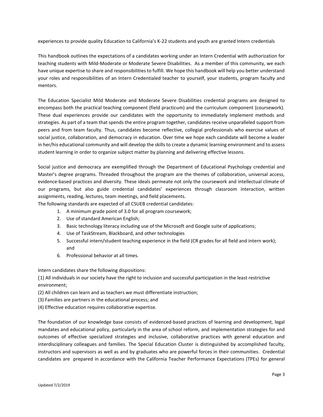experiences to provide quality Education to California's K-22 students and youth are granted Intern credentials

This handbook outlines the expectations of a candidates working under an Intern Credential with authorization for teaching students with Mild-Moderate or Moderate Severe Disabilities. As a member of this community, we each have unique expertise to share and responsibilities to fulfill. We hope this handbook will help you better understand your roles and responsibilities of an Intern Credentialed teacher to yourself, your students, program faculty and mentors.

The Education Specialist Mild Moderate and Moderate Severe Disabilities credential programs are designed to encompass both the practical teaching component (field practicum) and the curriculum component (coursework). These dual experiences provide our candidates with the opportunity to immediately implement methods and strategies. As part of a team that spends the entire program together, candidates receive unparalleled support from peers and from team faculty. Thus, candidates become reflective, collegial professionals who exercise values of social justice, collaboration, and democracy in education. Over time we hope each candidate will become a leader in her/his educational community and will develop the skills to create a dynamic learning environment and to assess student learning in order to organize subject matter by planning and delivering effective lessons.

Social justice and democracy are exemplified through the Department of Educational Psychology credential and Master's degree programs. Threaded throughout the program are the themes of collaboration, universal access, evidence-based practices and diversity. These ideals permeate not only the coursework and intellectual climate of our programs, but also guide credential candidates' experiences through classroom interaction, written assignments, reading, lectures, team meetings, and field placements.

The following standards are expected of all CSUEB credential candidates:

- 1. A minimum grade point of 3.0 for all program coursework;
- 2. Use of standard American English;
- 3. Basic technology literacy including use of the Microsoft and Google suite of applications;
- 4. Use of TaskStream, Blackboard, and other technologies
- 5. Successful intern/student teaching experience in the field (CR grades for all field and intern work); and
- 6. Professional behavior at all times.

Intern candidates share the following dispositions:

(1) All individuals in our society have the right to inclusion and successful participation in the least restrictive environment;

- (2) All children can learn and as teachers we must differentiate instruction;
- (3) Families are partners in the educational process; and
- (4) Effective education requires collaborative expertise.

The foundation of our knowledge base consists of evidenced-based practices of learning and development, legal mandates and educational policy, particularly in the area of school reform, and implementation strategies for and outcomes of effective specialized strategies and inclusive, collaborative practices with general education and interdisciplinary colleagues and families. The Special Education Cluster is distinguished by accomplished faculty, instructors and supervisors as well as and by graduates who are powerful forces in their communities. Credential candidates are prepared in accordance with the California Teacher Performance Expectations (TPEs) for general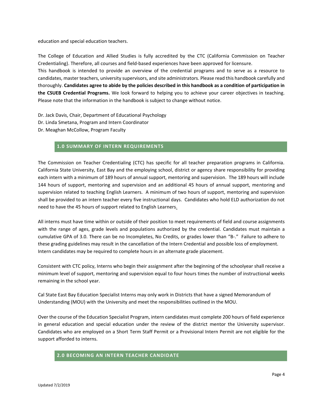education and special education teachers.

The College of Education and Allied Studies is fully accredited by the CTC (California Commission on Teacher Credentialing). Therefore, all courses and field-based experiences have been approved for licensure.

This handbook is intended to provide an overview of the credential programs and to serve as a resource to candidates, master teachers, university supervisors, and site administrators. Please read this handbook carefully and thoroughly. **Candidates agree to abide by the policies described in this handbook as a condition of participation in the CSUEB Credential Programs.** We look forward to helping you to achieve your career objectives in teaching. Please note that the information in the handbook is subject to change without notice.

Dr. Jack Davis, Chair, Department of Educational Psychology Dr. Linda Smetana, Program and Intern Coordinator Dr. Meaghan McCollow, Program Faculty

#### **1.0 SUMMARY OF INTERN REQUIREMENTS**

<span id="page-3-0"></span>The Commission on Teacher Credentialing (CTC) has specific for all teacher preparation programs in California. California State University, East Bay and the employing school, district or agency share responsibility for providing each intern with a minimum of 189 hours of annual support, mentoring and supervision. The 189 hours will include 144 hours of support, mentoring and supervision and an additional 45 hours of annual support, mentoring and supervision related to teaching English Learners. A minimum of two hours of support, mentoring and supervision shall be provided to an intern teacher every five instructional days. Candidates who hold ELD authorization do not need to have the 45 hours of support related to English Learners.

All interns must have time within or outside of their position to meet requirements of field and course assignments with the range of ages, grade levels and populations authorized by the credential. Candidates must maintain a cumulative GPA of 3.0. There can be no Incompletes, No Credits, or grades lower than "B-." Failure to adhere to these grading guidelines may result in the cancellation of the Intern Credential and possible loss of employment. Intern candidates may be required to complete hours in an alternate grade placement.

Consistent with CTC policy, Interns who begin their assignment after the beginning of the schoolyear shall receive a minimum level of support, mentoring and supervision equal to four hours times the number of instructional weeks remaining in the school year.

Cal State East Bay Education Specialist Interns may only work in Districts that have a signed Memorandum of Understanding (MOU) with the University and meet the responsibilities outlined in the MOU.

Over the course of the Education Specialist Program, intern candidates must complete 200 hours of field experience in general education and special education under the review of the district mentor the University supervisor. Candidates who are employed on a Short Term Staff Permit or a Provisional Intern Permit are not eligible for the support afforded to interns.

# <span id="page-3-1"></span>**2.0 BECOMING AN INTERN TEACHER CANDIDATE**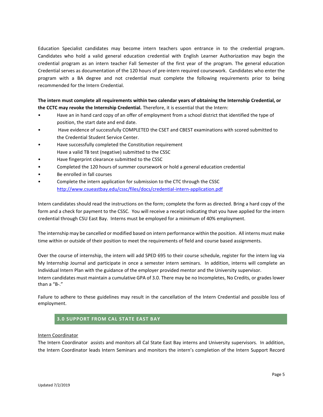Education Specialist candidates may become intern teachers upon entrance in to the credential program. Candidates who hold a valid general education credential with English Learner Authorization may begin the credential program as an intern teacher Fall Semester of the first year of the program. The general education Credential serves as documentation of the 120 hours of pre-intern required coursework. Candidates who enter the program with a BA degree and not credential must complete the following requirements prior to being recommended for the Intern Credential.

**The intern must complete all requirements within two calendar years of obtaining the Internship Credential, or the CCTC may revoke the Internship Credential.** Therefore, it is essential that the Intern:

- Have an in hand card copy of an offer of employment from a school district that identified the type of position, the start date and end date.
- Have evidence of successfully COMPLETED the CSET and CBEST examinations with scored submitted to the Credential Student Service Center.
- Have successfully completed the Constitution requirement Have a valid TB test (negative) submitted to the CSSC
- Have fingerprint clearance submitted to the CSSC
- Completed the 120 hours of summer coursework or hold a general education credential
- Be enrolled in fall courses
- Complete the intern application for submission to the CTC through the CSSC <http://www.csueastbay.edu/cssc/files/docs/credential-intern-application.pdf>

Intern candidates should read the instructions on the form; complete the form as directed. Bring a hard copy of the form and a check for payment to the CSSC. You will receive a receipt indicating that you have applied for the intern credential through CSU East Bay. Interns must be employed for a minimum of 40% employment.

The internship may be cancelled or modified based on intern performance within the position. All interns must make time within or outside of their position to meet the requirements of field and course based assignments.

Over the course of internship, the intern will add SPED 695 to their course schedule, register for the intern log via My Internship Journal and participate in once a semester intern seminars. In addition, interns will complete an Individual Intern Plan with the guidance of the employer provided mentor and the University supervisor.

Intern candidates must maintain a cumulative GPA of 3.0. There may be no Incompletes, No Credits, or grades lower than a "B-."

Failure to adhere to these guidelines may result in the cancellation of the Intern Credential and possible loss of employment.

# **3.0 SUPPORT FROM CAL STATE EAST BAY**

#### <span id="page-4-0"></span>Intern Coordinator

The Intern Coordinator assists and monitors all Cal State East Bay interns and University supervisors. In addition, the Intern Coordinator leads Intern Seminars and monitors the intern's completion of the Intern Support Record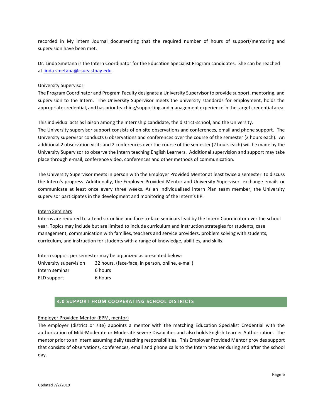recorded in My Intern Journal documenting that the required number of hours of support/mentoring and supervision have been met.

Dr. Linda Smetana is the Intern Coordinator for the Education Specialist Program candidates. She can be reached a[t linda.smetana@csueastbay.edu.](mailto:linda.smetana@csueastbay.edu)

#### University Supervisor

The Program Coordinator and Program Faculty designate a University Supervisor to provide support, mentoring, and supervision to the Intern. The University Supervisor meets the university standards for employment, holds the appropriate credential, and has prior teaching/supporting and management experience in the target credential area.

This individual acts as liaison among the Internship candidate, the district-school, and the University.

The University supervisor support consists of on-site observations and conferences, email and phone support. The University supervisor conducts 6 observations and conferences over the course of the semester (2 hours each). An additional 2 observation visits and 2 conferences over the course of the semester (2 hours each) will be made by the University Supervisor to observe the Intern teaching English Learners. Additional supervision and support may take place through e-mail, conference video, conferences and other methods of communication.

The University Supervisor meets in person with the Employer Provided Mentor at least twice a semester to discuss the Intern's progress. Additionally, the Employer Provided Mentor and University Supervisor exchange emails or communicate at least once every three weeks. As an Individualized Intern Plan team member, the University supervisor participates in the development and monitoring of the Intern's IIP.

#### Intern Seminars

Interns are required to attend six online and face-to-face seminars lead by the Intern Coordinator over the school year. Topics may include but are limited to include curriculum and instruction strategies for students, case management, communication with families, teachers and service providers, problem solving with students, curriculum, and instruction for students with a range of knowledge, abilities, and skills.

Intern support per semester may be organized as presented below:

| University supervision | 32 hours. (face-face, in person, online, e-mail) |
|------------------------|--------------------------------------------------|
| Intern seminar         | 6 hours                                          |
| ELD support            | 6 hours                                          |

# **4.0 SUPPORT FROM COOPERATING SCHOOL DISTRICTS**

#### <span id="page-5-0"></span>Employer Provided Mentor (EPM, mentor)

The employer (district or site) appoints a mentor with the matching Education Specialist Credential with the authorization of Mild-Moderate or Moderate Severe Disabilities and also holds English Learner Authorization. The mentor prior to an intern assuming daily teaching responsibilities. This Employer Provided Mentor provides support that consists of observations, conferences, email and phone calls to the Intern teacher during and after the school day.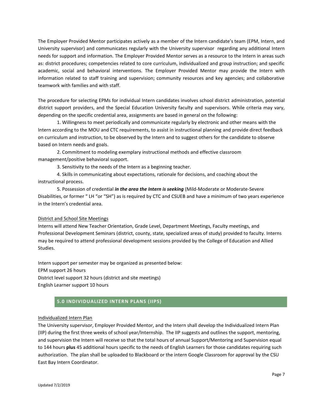The Employer Provided Mentor participates actively as a member of the Intern candidate's team (EPM, Intern, and University supervisor) and communicates regularly with the University supervisor regarding any additional Intern needs for support and information. The Employer Provided Mentor serves as a resource to the Intern in areas such as: district procedures; competencies related to core curriculum, individualized and group instruction; and specific academic, social and behavioral interventions. The Employer Provided Mentor may provide the Intern with information related to staff training and supervision; community resources and key agencies; and collaborative teamwork with families and with staff.

The procedure for selecting EPMs for individual Intern candidates involves school district administration, potential district support providers, and the Special Education University faculty and supervisors. While criteria may vary, depending on the specific credential area, assignments are based in general on the following:

1. Willingness to meet periodically and communicate regularly by electronic and other means with the Intern according to the MOU and CTC requirements, to assist in instructional planning and provide direct feedback on curriculum and instruction, to be observed by the Intern and to suggest others for the candidate to observe based on Intern needs and goals.

2. Commitment to modeling exemplary instructional methods and effective classroom management/positive behavioral support.

3. Sensitivity to the needs of the Intern as a beginning teacher.

4. Skills in communicating about expectations, rationale for decisions, and coaching about the instructional process.

5. Possession of credential *in the area the Intern is seeking* (Mild-Moderate or Moderate-Severe Disabilities, or former " LH "or "SH") as is required by CTC and CSUEB and have a minimum of two years experience in the Intern's credential area.

## District and School Site Meetings

Interns will attend New Teacher Orientation, Grade Level, Department Meetings, Faculty meetings, and Professional Development Seminars (district, county, state, specialized areas of study) provided to faculty. Interns may be required to attend professional development sessions provided by the College of Education and Allied Studies.

Intern support per semester may be organized as presented below: EPM support 26 hours District level support 32 hours (district and site meetings) English Learner support 10 hours

# **5.0 INDIVIDUALIZED INTERN PLANS (IIPS)**

#### <span id="page-6-0"></span>Individualized Intern Plan

The University supervisor, Employer Provided Mentor, and the Intern shall develop the Individualized Intern Plan (IIP) during the first three weeks of school year/Internship. The IIP suggests and outlines the support, mentoring, and supervision the Intern will receive so that the total hours of annual Support/Mentoring and Supervision equal to 144 hours **plus** 45 additional hours specific to the needs of English Learners for those candidates requiring such authorization. The plan shall be uploaded to Blackboard or the intern Google Classroom for approval by the CSU East Bay Intern Coordinator.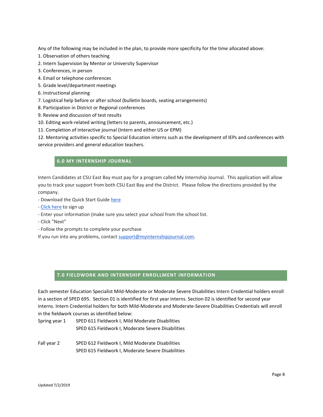Any of the following may be included in the plan, to provide more specificity for the time allocated above:

- 1. Observation of others teaching
- 2. Intern Supervision by Mentor or University Supervisor
- 3. Conferences, in person
- 4. Email or telephone conferences
- 5. Grade level/department meetings
- 6. Instructional planning
- 7. Logistical help before or after school (bulletin boards, seating arrangements)
- 8. Participation in District or Regional conferences
- 9. Review and discussion of test results
- 10. Editing work-related writing (letters to parents, announcement, etc.)
- 11. Completion of interactive journal (Intern and either US or EPM)

12. Mentoring activities specific to Special Education interns such as the development of IEPs and conferences with service providers and general education teachers.

# **6.0 MY INTERNSHIP JOURNAL**

<span id="page-7-0"></span>Intern Candidates at CSU East Bay must pay for a program called My Internship Journal. This application will allow you to track your support from both CSU East Bay and the District. Please follow the directions provided by the company.

- Download the Quick Start Guide [here](http://www.myinternshipjournal.com/help)
- [Click here](http://myinternshipjournal.com/signup) to sign up
- Enter your information (make sure you select your school from the school list.
- Click "Next"
- Follow the prompts to complete your purchase

If you run into any problems, contact [support@myinternshipjournal.com.](mailto:support@myinternshipjournal.com)

# **7.0 FIELDWORK AND INTERNSHIP ENROLLMENT INFORMATION**

<span id="page-7-1"></span>Each semester Education Specialist Mild-Moderate or Moderate Severe Disabilities Intern Credential holders enroll in a section of SPED 695. Section 01 is identified for first year interns. Section 02 is identified for second year interns. Intern Credential holders for both Mild-Moderate and Moderate-Severe Disabilities Credentials will enroll in the fieldwork courses as identified below:

Spring year 1 SPED 611 Fieldwork I, Mild Moderate Disabilities SPED 615 Fieldwork I, Moderate Severe Disabilities

Fall year 2 SPED 612 Fieldwork I, Mild Moderate Disabilities SPED 615 Fieldwork I, Moderate Severe Disabilities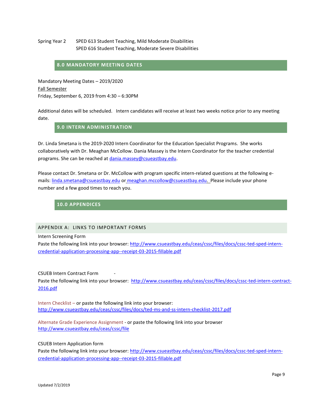## Spring Year 2 SPED 613 Student Teaching, Mild Moderate Disabilities SPED 616 Student Teaching, Moderate Severe Disabilities

## <span id="page-8-0"></span>**8.0 MANDATORY MEETING DATES**

Mandatory Meeting Dates – 2019/2020 Fall Semester Friday, September 6, 2019 from 4:30 – 6:30PM

<span id="page-8-1"></span>Additional dates will be scheduled. Intern candidates will receive at least two weeks notice prior to any meeting date.

# **9.0 INTERN ADMINISTRATION**

Dr. Linda Smetana is the 2019-2020 Intern Coordinator for the Education Specialist Programs. She works collaboratively with Dr. Meaghan McCollow. Dania Massey is the Intern Coordinator for the teacher credential programs. She can be reached a[t dania.massey@csueastbay.edu.](mailto:dania.massey@csueastbay.edu)

Please contact Dr. Smetana or Dr. McCollow with program specific intern-related questions at the following emails: [linda.smetana@csueastbay.edu](mailto:linda.smetana@csueastbay.edu) or [meaghan.mccollow@csueastbay.edu.](mailto:meaghan.mccollow@csueastbay.edu) Please include your phone number and a few good times to reach you.

# <span id="page-8-2"></span>**10.0 APPENDICES**

## <span id="page-8-3"></span>APPENDIX A: LINKS TO IMPORTANT FORMS

Intern Screening Form

Paste the following link into your browser: [http://www.csueastbay.edu/ceas/cssc/files/docs/cssc-ted-sped-intern](http://www.csueastbay.edu/ceas/cssc/files/docs/cssc-ted-sped-intern-credential-application-processing-app--receipt-03-2015-fillable.pdf)[credential-application-processing-app--receipt-03-2015-fillable.pdf](http://www.csueastbay.edu/ceas/cssc/files/docs/cssc-ted-sped-intern-credential-application-processing-app--receipt-03-2015-fillable.pdf)

CSUEB Intern Contract Form

Paste the following link into your browser: [http://www.csueastbay.edu/ceas/cssc/files/docs/cssc-ted-intern-contract-](http://www.csueastbay.edu/ceas/cssc/files/docs/cssc-ted-intern-contract-2016.pdf)[2016.pdf](http://www.csueastbay.edu/ceas/cssc/files/docs/cssc-ted-intern-contract-2016.pdf)

Intern Checklist – or paste the following link into your browser: <http://www.csueastbay.edu/ceas/cssc/files/docs/ted-ms-and-ss-intern-checklist-2017.pdf>

Alternate Grade Experience Assignment - or paste the following link into your browser <http://www.csueastbay.edu/ceas/cssc/file>

CSUEB Intern Application form

Paste the following link into your browser: [http://www.csueastbay.edu/ceas/cssc/files/docs/cssc-ted-sped-intern](http://www.csueastbay.edu/ceas/cssc/files/docs/cssc-ted-sped-intern-credential-application-processing-app--receipt-03-2015-fillable.pdf)[credential-application-processing-app--receipt-03-2015-fillable.pdf](http://www.csueastbay.edu/ceas/cssc/files/docs/cssc-ted-sped-intern-credential-application-processing-app--receipt-03-2015-fillable.pdf)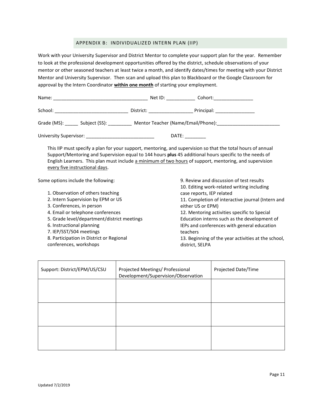## APPENDIX B: INDIVIDUALIZED INTERN PLAN (IIP)

<span id="page-10-0"></span>Work with your University Supervisor and District Mentor to complete your support plan for the year. Remember to look at the professional development opportunities offered by the district, schedule observations of your mentor or other seasoned teachers at least twice a month, and identify dates/times for meeting with your District Mentor and University Supervisor.Then scan and upload this plan to Blackboard or the Google Classroom for approval by the Intern Coordinator **within one month** of starting your employment.

| Name:                                                                                                          | Net ID: Net ID:                                                                                                                                                                                                               | Cohort:_________________      |  |  |
|----------------------------------------------------------------------------------------------------------------|-------------------------------------------------------------------------------------------------------------------------------------------------------------------------------------------------------------------------------|-------------------------------|--|--|
| School:                                                                                                        | District: ___________                                                                                                                                                                                                         | Principal: __________________ |  |  |
| Mentor Teacher (Name/Email/Phone): Mentor Teacher<br>Grade (MS): ________ Subject (SS): ___________            |                                                                                                                                                                                                                               |                               |  |  |
| University Supervisor: New York Supervisor Supervisor Supervisor Supervisor Supervisor Supervisor Supervisor S | DATE: and the state of the state of the state of the state of the state of the state of the state of the state of the state of the state of the state of the state of the state of the state of the state of the state of the |                               |  |  |

This IIP must specify a plan for your support, mentoring, and supervision so that the total hours of annual Support/Mentoring and Supervision equal to 144 hours **plus** 45 additional hours specific to the needs of English Learners. This plan must include a minimum of two hours of support, mentoring, and supervision every five instructional days.

Some options include the following:

- 1. Observation of others teaching
- 2. Intern Supervision by EPM or US
- 3. Conferences, in person
- 4. Email or telephone conferences
- 5. Grade level/department/district meetings
- 6. Instructional planning
- 7. IEP/SST/504 meetings
- 8. Participation in District or Regional
- conferences, workshops

9. Review and discussion of test results 10. Editing work-related writing including case reports, IEP related 11. Completion of interactive journal (Intern and either US or EPM) 12. Mentoring activities specific to Special Education interns such as the development of IEPs and conferences with general education teachers

13. Beginning of the year activities at the school, district, SELPA

| Support: District/EPM/US/CSU | Projected Meetings/ Professional<br>Development/Supervision/Observation | Projected Date/Time |
|------------------------------|-------------------------------------------------------------------------|---------------------|
|                              |                                                                         |                     |
|                              |                                                                         |                     |
|                              |                                                                         |                     |
|                              |                                                                         |                     |